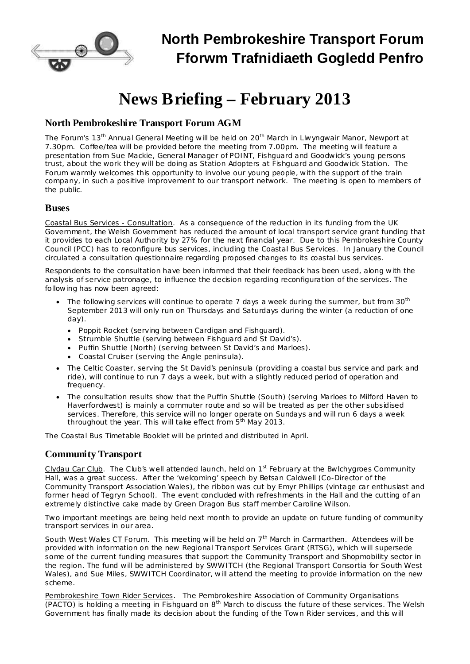

## **North Pembrokeshire Transport Forum Fforwm Trafnidiaeth Gogledd Penfro**

# **News Briefing – February 2013**

### **North Pembrokeshire Transport Forum AGM**

The Forum's 13<sup>th</sup> Annual General Meeting will be held on 20<sup>th</sup> March in Llwyngwair Manor, Newport at 7.30pm. Coffee/tea will be provided before the meeting from 7.00pm. The meeting will feature a presentation from Sue Mackie, General Manager of POINT, Fishguard and Goodwick's young persons trust, about the work they will be doing as Station Adopters at Fishguard and Goodwick Station. The Forum warmly welcomes this opportunity to involve our young people, with the support of the train company, in such a positive improvement to our transport network. The meeting is open to members of the public.

#### **Buses**

Coastal Bus Services - Consultation. As a consequence of the reduction in its funding from the UK Government, the Welsh Government has reduced the amount of local transport service grant funding that it provides to each Local Authority by 27% for the next financial year. Due to this Pembrokeshire County Council (PCC) has to reconfigure bus services, including the Coastal Bus Services. In January the Council circulated a consultation questionnaire regarding proposed changes to its coastal bus services.

Respondents to the consultation have been informed that their feedback has been used, along with the analysis of service patronage, to influence the decision regarding reconfiguration of the services. The following has now been agreed:

- The following services will continue to operate 7 days a week during the summer, but from 30<sup>th</sup> September 2013 will only run on Thursdays and Saturdays during the winter (a reduction of one day).
	- · Poppit Rocket (serving between Cardigan and Fishguard).
	- · Strumble Shuttle (serving between Fishguard and St David's).
	- · Puffin Shuttle (North) (serving between St David's and Marloes).
	- · Coastal Cruiser (serving the Angle peninsula).
- · The Celtic Coaster, serving the St David's peninsula (providing a coastal bus service and park and ride), will continue to run 7 days a week, but with a slightly reduced period of operation and frequency.
- · The consultation results show that the Puffin Shuttle (South) (serving Marloes to Milford Haven to Haverfordwest) is mainly a commuter route and so will be treated as per the other subsidised services. Therefore, this service will no longer operate on Sundays and will run 6 days a week throughout the year. This will take effect from 5<sup>th</sup> May 2013.

The Coastal Bus Timetable Booklet will be printed and distributed in April.

#### **Community Transport**

Clydau Car Club. The Club's well attended launch, held on 1<sup>st</sup> February at the Bwlchygroes Community Hall, was a great success. After the 'welcoming' speech by Betsan Caldwell (Co-Director of the Community Transport Association Wales), the ribbon was cut by Emyr Phillips (vintage car enthusiast and former head of Tegryn School). The event concluded with refreshments in the Hall and the cutting of an extremely distinctive cake made by Green Dragon Bus staff member Caroline Wilson.

Two important meetings are being held next month to provide an update on future funding of community transport services in our area.

South West Wales CT Forum. This meeting will be held on 7<sup>th</sup> March in Carmarthen. Attendees will be provided with information on the new Regional Transport Services Grant (RTSG), which will supersede some of the current funding measures that support the Community Transport and Shopmobility sector in the region. The fund will be administered by SWWITCH (the Regional Transport Consortia for South West Wales), and Sue Miles, SWWITCH Coordinator, will attend the meeting to provide information on the new scheme.

Pembrokeshire Town Rider Services. The Pembrokeshire Association of Community Organisations (PACTO) is holding a meeting in Fishguard on  $8<sup>th</sup>$  March to discuss the future of these services. The Welsh Government has finally made its decision about the funding of the Town Rider services, and this will